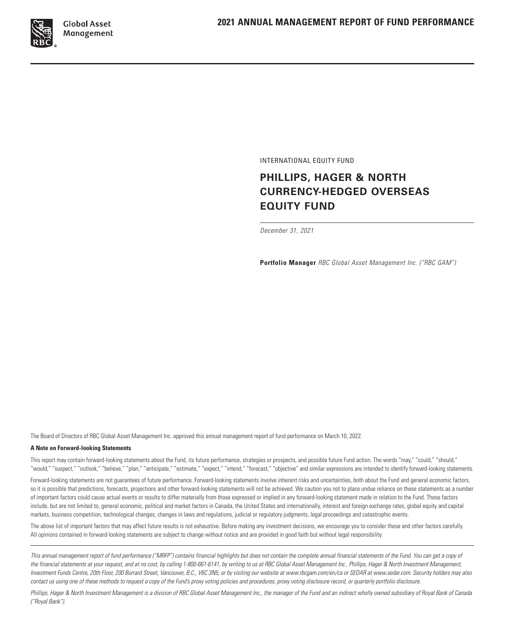

INTERNATIONAL EQUITY FUND

# **PHILLIPS, HAGER & NORTH CURRENCY-HEDGED OVERSEAS EQUITY FUND**

*December 31, 2021*

**Portfolio Manager** *RBC Global Asset Management Inc. ("RBC GAM")*

The Board of Directors of RBC Global Asset Management Inc. approved this annual management report of fund performance on March 10, 2022.

#### **A Note on Forward-looking Statements**

This report may contain forward-looking statements about the Fund, its future performance, strategies or prospects, and possible future Fund action. The words "may," "could," "should," "would," "suspect," "outlook," "believe," "plan," "anticipate," "estimate," "expect," "intend," "forecast," "objective" and similar expressions are intended to identify forward-looking statements.

Forward-looking statements are not guarantees of future performance. Forward-looking statements involve inherent risks and uncertainties, both about the Fund and general economic factors, so it is possible that predictions, forecasts, projections and other forward-looking statements will not be achieved. We caution you not to place undue reliance on these statements as a number of important factors could cause actual events or results to differ materially from those expressed or implied in any forward-looking statement made in relation to the Fund. These factors include, but are not limited to, general economic, political and market factors in Canada, the United States and internationally, interest and foreign exchange rates, global equity and capital markets, business competition, technological changes, changes in laws and regulations, judicial or regulatory judgments, legal proceedings and catastrophic events.

The above list of important factors that may affect future results is not exhaustive. Before making any investment decisions, we encourage you to consider these and other factors carefully. All opinions contained in forward-looking statements are subject to change without notice and are provided in good faith but without legal responsibility.

This annual management report of fund performance ("MRFP") contains financial highlights but does not contain the complete annual financial statements of the Fund. You can get a copy of the financial statements at your request, and at no cost, by calling 1-800-661-6141, by writing to us at RBC Global Asset Management Inc., Phillips, Hager & North Investment Management, *Investment Funds Centre, 20th Floor, 200 Burrard Street, Vancouver, B.C., V6C 3N5, or by visiting our website at www.rbcgam.com/en/ca or SEDAR at www.sedar.com. Security holders may also contact us using one of these methods to request a copy of the Fund's proxy voting policies and procedures, proxy voting disclosure record, or quarterly portfolio disclosure.*

Phillips, Hager & North Investment Management is a division of RBC Global Asset Management Inc., the manager of the Fund and an indirect wholly owned subsidiary of Royal Bank of Canada *("Royal Bank").*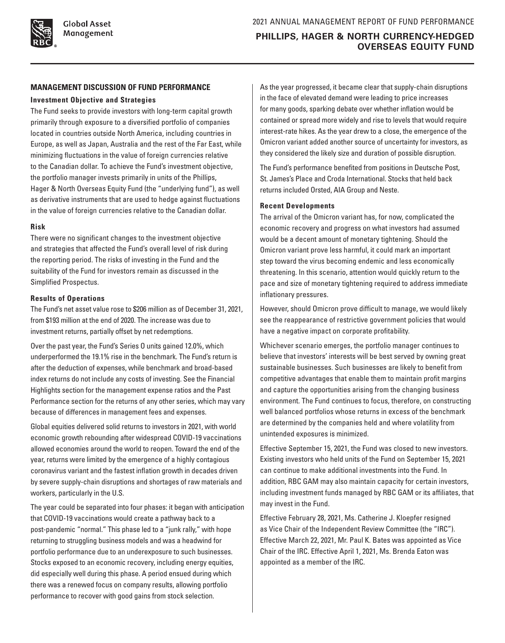# **MANAGEMENT DISCUSSION OF FUND PERFORMANCE**

### **Investment Objective and Strategies**

The Fund seeks to provide investors with long-term capital growth primarily through exposure to a diversified portfolio of companies located in countries outside North America, including countries in Europe, as well as Japan, Australia and the rest of the Far East, while minimizing fluctuations in the value of foreign currencies relative to the Canadian dollar. To achieve the Fund's investment objective, the portfolio manager invests primarily in units of the Phillips, Hager & North Overseas Equity Fund (the "underlying fund"), as well as derivative instruments that are used to hedge against fluctuations in the value of foreign currencies relative to the Canadian dollar.

### **Risk**

There were no significant changes to the investment objective and strategies that affected the Fund's overall level of risk during the reporting period. The risks of investing in the Fund and the suitability of the Fund for investors remain as discussed in the Simplified Prospectus.

# **Results of Operations**

The Fund's net asset value rose to \$206 million as of December 31, 2021, from \$193 million at the end of 2020. The increase was due to investment returns, partially offset by net redemptions.

Over the past year, the Fund's Series O units gained 12.0%, which underperformed the 19.1% rise in the benchmark. The Fund's return is after the deduction of expenses, while benchmark and broad-based index returns do not include any costs of investing. See the Financial Highlights section for the management expense ratios and the Past Performance section for the returns of any other series, which may vary because of differences in management fees and expenses.

Global equities delivered solid returns to investors in 2021, with world economic growth rebounding after widespread COVID-19 vaccinations allowed economies around the world to reopen. Toward the end of the year, returns were limited by the emergence of a highly contagious coronavirus variant and the fastest inflation growth in decades driven by severe supply-chain disruptions and shortages of raw materials and workers, particularly in the U.S.

The year could be separated into four phases: it began with anticipation that COVID-19 vaccinations would create a pathway back to a post-pandemic "normal." This phase led to a "junk rally," with hope returning to struggling business models and was a headwind for portfolio performance due to an underexposure to such businesses. Stocks exposed to an economic recovery, including energy equities, did especially well during this phase. A period ensued during which there was a renewed focus on company results, allowing portfolio performance to recover with good gains from stock selection.

As the year progressed, it became clear that supply-chain disruptions in the face of elevated demand were leading to price increases for many goods, sparking debate over whether inflation would be contained or spread more widely and rise to levels that would require interest-rate hikes. As the year drew to a close, the emergence of the Omicron variant added another source of uncertainty for investors, as they considered the likely size and duration of possible disruption.

The Fund's performance benefited from positions in Deutsche Post, St. James's Place and Croda International. Stocks that held back returns included Orsted, AIA Group and Neste.

# **Recent Developments**

The arrival of the Omicron variant has, for now, complicated the economic recovery and progress on what investors had assumed would be a decent amount of monetary tightening. Should the Omicron variant prove less harmful, it could mark an important step toward the virus becoming endemic and less economically threatening. In this scenario, attention would quickly return to the pace and size of monetary tightening required to address immediate inflationary pressures.

However, should Omicron prove difficult to manage, we would likely see the reappearance of restrictive government policies that would have a negative impact on corporate profitability.

Whichever scenario emerges, the portfolio manager continues to believe that investors' interests will be best served by owning great sustainable businesses. Such businesses are likely to benefit from competitive advantages that enable them to maintain profit margins and capture the opportunities arising from the changing business environment. The Fund continues to focus, therefore, on constructing well balanced portfolios whose returns in excess of the benchmark are determined by the companies held and where volatility from unintended exposures is minimized.

Effective September 15, 2021, the Fund was closed to new investors. Existing investors who held units of the Fund on September 15, 2021 can continue to make additional investments into the Fund. In addition, RBC GAM may also maintain capacity for certain investors, including investment funds managed by RBC GAM or its affiliates, that may invest in the Fund.

Effective February 28, 2021, Ms. Catherine J. Kloepfer resigned as Vice Chair of the Independent Review Committee (the "IRC"). Effective March 22, 2021, Mr. Paul K. Bates was appointed as Vice Chair of the IRC. Effective April 1, 2021, Ms. Brenda Eaton was appointed as a member of the IRC.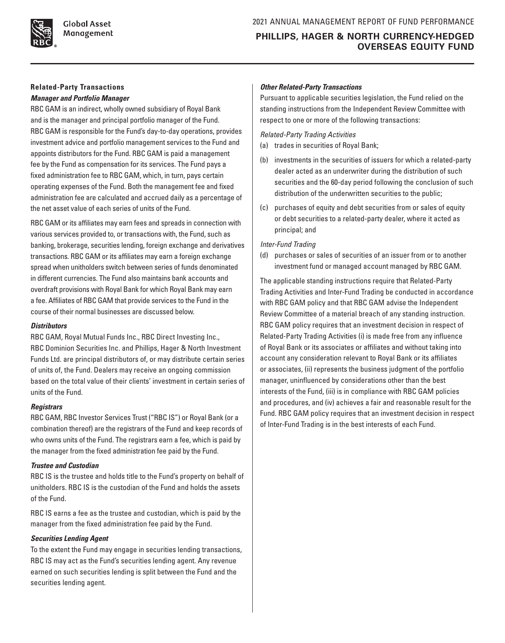

**Global Asset** Management

# **Related-Party Transactions** *Manager and Portfolio Manager*

RBC GAM is an indirect, wholly owned subsidiary of Royal Bank and is the manager and principal portfolio manager of the Fund. RBC GAM is responsible for the Fund's day-to-day operations, provides investment advice and portfolio management services to the Fund and appoints distributors for the Fund. RBC GAM is paid a management fee by the Fund as compensation for its services. The Fund pays a fixed administration fee to RBC GAM, which, in turn, pays certain operating expenses of the Fund. Both the management fee and fixed administration fee are calculated and accrued daily as a percentage of the net asset value of each series of units of the Fund.

RBC GAM or its affiliates may earn fees and spreads in connection with various services provided to, or transactions with, the Fund, such as banking, brokerage, securities lending, foreign exchange and derivatives transactions. RBC GAM or its affiliates may earn a foreign exchange spread when unitholders switch between series of funds denominated in different currencies. The Fund also maintains bank accounts and overdraft provisions with Royal Bank for which Royal Bank may earn a fee. Affiliates of RBC GAM that provide services to the Fund in the course of their normal businesses are discussed below.

### *Distributors*

RBC GAM, Royal Mutual Funds Inc., RBC Direct Investing Inc., RBC Dominion Securities Inc. and Phillips, Hager & North Investment Funds Ltd. are principal distributors of, or may distribute certain series of units of, the Fund. Dealers may receive an ongoing commission based on the total value of their clients' investment in certain series of units of the Fund.

# *Registrars*

RBC GAM, RBC Investor Services Trust ("RBC IS") or Royal Bank (or a combination thereof) are the registrars of the Fund and keep records of who owns units of the Fund. The registrars earn a fee, which is paid by the manager from the fixed administration fee paid by the Fund.

# *Trustee and Custodian*

RBC IS is the trustee and holds title to the Fund's property on behalf of unitholders. RBC IS is the custodian of the Fund and holds the assets of the Fund.

RBC IS earns a fee as the trustee and custodian, which is paid by the manager from the fixed administration fee paid by the Fund.

# *Securities Lending Agent*

To the extent the Fund may engage in securities lending transactions, RBC IS may act as the Fund's securities lending agent. Any revenue earned on such securities lending is split between the Fund and the securities lending agent.

# *Other Related-Party Transactions*

Pursuant to applicable securities legislation, the Fund relied on the standing instructions from the Independent Review Committee with respect to one or more of the following transactions:

*Related-Party Trading Activities*

- (a) trades in securities of Royal Bank;
- (b) investments in the securities of issuers for which a related-party dealer acted as an underwriter during the distribution of such securities and the 60-day period following the conclusion of such distribution of the underwritten securities to the public;
- (c) purchases of equity and debt securities from or sales of equity or debt securities to a related-party dealer, where it acted as principal; and

# *Inter-Fund Trading*

(d) purchases or sales of securities of an issuer from or to another investment fund or managed account managed by RBC GAM.

The applicable standing instructions require that Related-Party Trading Activities and Inter-Fund Trading be conducted in accordance with RBC GAM policy and that RBC GAM advise the Independent Review Committee of a material breach of any standing instruction. RBC GAM policy requires that an investment decision in respect of Related-Party Trading Activities (i) is made free from any influence of Royal Bank or its associates or affiliates and without taking into account any consideration relevant to Royal Bank or its affiliates or associates, (ii) represents the business judgment of the portfolio manager, uninfluenced by considerations other than the best interests of the Fund, (iii) is in compliance with RBC GAM policies and procedures, and (iv) achieves a fair and reasonable result for the Fund. RBC GAM policy requires that an investment decision in respect of Inter-Fund Trading is in the best interests of each Fund.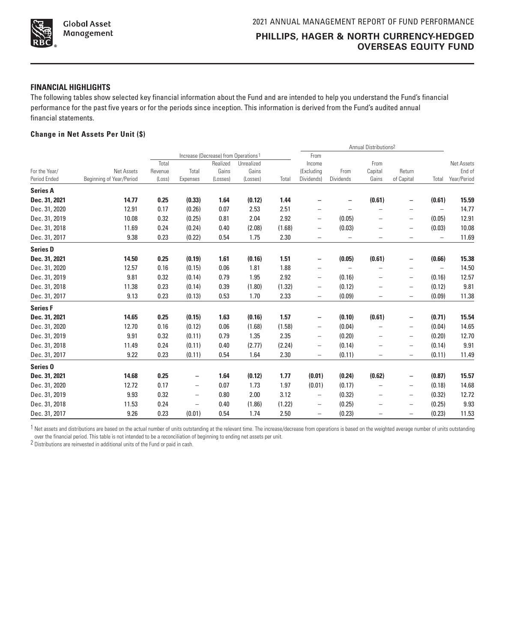

# **FINANCIAL HIGHLIGHTS**

The following tables show selected key financial information about the Fund and are intended to help you understand the Fund's financial performance for the past five years or for the periods since inception. This information is derived from the Fund's audited annual financial statements.

# **Change in Net Assets Per Unit (\$)**

|                     |                          |         |                          |                                                  |            |        | Annual Distributions <sup>2</sup> |                          |                          |                          |                          |             |
|---------------------|--------------------------|---------|--------------------------|--------------------------------------------------|------------|--------|-----------------------------------|--------------------------|--------------------------|--------------------------|--------------------------|-------------|
|                     |                          |         |                          | Increase (Decrease) from Operations <sup>1</sup> |            |        | From                              |                          |                          |                          |                          |             |
|                     |                          | Total   |                          | Realized                                         | Unrealized |        | Income                            |                          | From                     |                          |                          | Net Assets  |
| For the Year/       | Net Assets               | Revenue | Total                    | Gains                                            | Gains      |        | (Excluding                        | From                     | Capital                  | Return                   |                          | End of      |
| Period Ended        | Beginning of Year/Period | (Loss)  | Expenses                 | (Losses)                                         | (Losses)   | Total  | Dividends)                        | Dividends                | Gains                    | of Capital               | Total                    | Year/Period |
| <b>Series A</b>     |                          |         |                          |                                                  |            |        |                                   |                          |                          |                          |                          |             |
| Dec. 31, 2021       | 14.77                    | 0.25    | (0.33)                   | 1.64                                             | (0.12)     | 1.44   |                                   |                          | (0.61)                   | $\qquad \qquad -$        | (0.61)                   | 15.59       |
| Dec. 31, 2020       | 12.91                    | 0.17    | (0.26)                   | 0.07                                             | 2.53       | 2.51   | $\overline{\phantom{0}}$          |                          | -                        | -                        | $\overline{\phantom{0}}$ | 14.77       |
| Dec. 31, 2019       | 10.08                    | 0.32    | (0.25)                   | 0.81                                             | 2.04       | 2.92   | $\overline{\phantom{0}}$          | (0.05)                   | -                        | $\overline{\phantom{0}}$ | (0.05)                   | 12.91       |
| Dec. 31, 2018       | 11.69                    | 0.24    | (0.24)                   | 0.40                                             | (2.08)     | (1.68) | -                                 | (0.03)                   | $\overline{\phantom{0}}$ | $\qquad \qquad$          | (0.03)                   | 10.08       |
| Dec. 31, 2017       | 9.38                     | 0.23    | (0.22)                   | 0.54                                             | 1.75       | 2.30   | $\overline{\phantom{0}}$          | $\overline{\phantom{0}}$ | -                        | $\overline{\phantom{0}}$ | $\overline{\phantom{0}}$ | 11.69       |
| <b>Series D</b>     |                          |         |                          |                                                  |            |        |                                   |                          |                          |                          |                          |             |
| Dec. 31, 2021       | 14.50                    | 0.25    | (0.19)                   | 1.61                                             | (0.16)     | 1.51   | $\qquad \qquad -$                 | (0.05)                   | (0.61)                   | -                        | (0.66)                   | 15.38       |
| Dec. 31, 2020       | 12.57                    | 0.16    | (0.15)                   | 0.06                                             | 1.81       | 1.88   | $\qquad \qquad -$                 | $\overline{\phantom{0}}$ | $\overline{\phantom{0}}$ |                          | $\overline{\phantom{0}}$ | 14.50       |
| Dec. 31, 2019       | 9.81                     | 0.32    | (0.14)                   | 0.79                                             | 1.95       | 2.92   | $\qquad \qquad -$                 | (0.16)                   | $\overline{\phantom{0}}$ | $\overline{\phantom{0}}$ | (0.16)                   | 12.57       |
| Dec. 31, 2018       | 11.38                    | 0.23    | (0.14)                   | 0.39                                             | (1.80)     | (1.32) | -                                 | (0.12)                   | $\overline{\phantom{0}}$ | $\overline{\phantom{0}}$ | (0.12)                   | 9.81        |
| Dec. 31, 2017       | 9.13                     | 0.23    | (0.13)                   | 0.53                                             | 1.70       | 2.33   | $\overline{\phantom{0}}$          | (0.09)                   | $\overline{\phantom{0}}$ | $\overline{\phantom{0}}$ | (0.09)                   | 11.38       |
| <b>Series F</b>     |                          |         |                          |                                                  |            |        |                                   |                          |                          |                          |                          |             |
| Dec. 31, 2021       | 14.65                    | 0.25    | (0.15)                   | 1.63                                             | (0.16)     | 1.57   | $\qquad \qquad -$                 | (0.10)                   | (0.61)                   | -                        | (0.71)                   | 15.54       |
| Dec. 31, 2020       | 12.70                    | 0.16    | (0.12)                   | 0.06                                             | (1.68)     | (1.58) | $\overline{\phantom{0}}$          | (0.04)                   | $\qquad \qquad -$        | -                        | (0.04)                   | 14.65       |
| Dec. 31, 2019       | 9.91                     | 0.32    | (0.11)                   | 0.79                                             | 1.35       | 2.35   | $\overline{\phantom{0}}$          | (0.20)                   | $\qquad \qquad -$        | $\overline{\phantom{0}}$ | (0.20)                   | 12.70       |
| Dec. 31, 2018       | 11.49                    | 0.24    | (0.11)                   | 0.40                                             | (2.77)     | (2.24) | $\qquad \qquad -$                 | (0.14)                   | $\overline{\phantom{0}}$ | $\overline{\phantom{0}}$ | (0.14)                   | 9.91        |
| Dec. 31, 2017       | 9.22                     | 0.23    | (0.11)                   | 0.54                                             | 1.64       | 2.30   | $\overline{\phantom{0}}$          | (0.11)                   | $\overline{\phantom{0}}$ | $\overline{\phantom{0}}$ | (0.11)                   | 11.49       |
| Series <sub>0</sub> |                          |         |                          |                                                  |            |        |                                   |                          |                          |                          |                          |             |
| Dec. 31, 2021       | 14.68                    | 0.25    | $\qquad \qquad -$        | 1.64                                             | (0.12)     | 1.77   | (0.01)                            | (0.24)                   | (0.62)                   | -                        | (0.87)                   | 15.57       |
| Dec. 31, 2020       | 12.72                    | 0.17    | $\qquad \qquad -$        | 0.07                                             | 1.73       | 1.97   | (0.01)                            | (0.17)                   | $\overline{\phantom{0}}$ | $\overline{\phantom{0}}$ | (0.18)                   | 14.68       |
| Dec. 31, 2019       | 9.93                     | 0.32    | $\overline{\phantom{0}}$ | 0.80                                             | 2.00       | 3.12   | -                                 | (0.32)                   | $\overline{\phantom{0}}$ | $\overline{\phantom{0}}$ | (0.32)                   | 12.72       |
| Dec. 31, 2018       | 11.53                    | 0.24    | $\overline{\phantom{0}}$ | 0.40                                             | (1.86)     | (1.22) | $\overline{\phantom{0}}$          | (0.25)                   | -                        | $\overline{\phantom{0}}$ | (0.25)                   | 9.93        |
| Dec. 31, 2017       | 9.26                     | 0.23    | (0.01)                   | 0.54                                             | 1.74       | 2.50   | $\overline{\phantom{0}}$          | (0.23)                   |                          | $\qquad \qquad$          | (0.23)                   | 11.53       |

1 Net assets and distributions are based on the actual number of units outstanding at the relevant time. The increase/decrease from operations is based on the weighted average number of units outstanding over the financial period. This table is not intended to be a reconciliation of beginning to ending net assets per unit.

2 Distributions are reinvested in additional units of the Fund or paid in cash.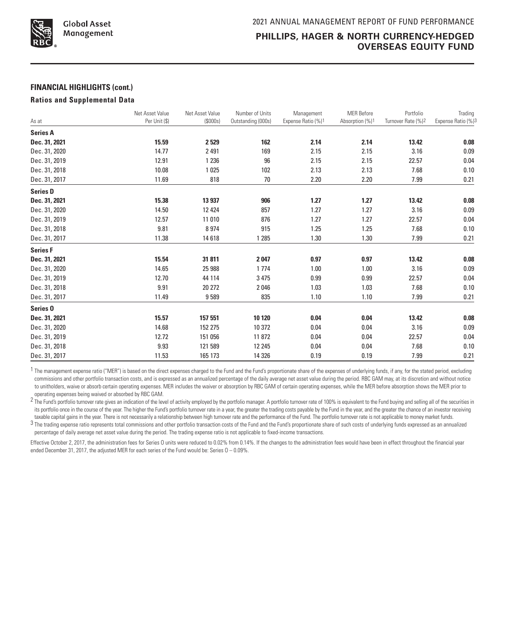

## **FINANCIAL HIGHLIGHTS (cont.)**

#### **Ratios and Supplemental Data**

|                     | Net Asset Value | Net Asset Value | Number of Units    | Management         | <b>MER Before</b> | Portfolio                      | Trading            |
|---------------------|-----------------|-----------------|--------------------|--------------------|-------------------|--------------------------------|--------------------|
| As at               | Per Unit (\$)   | (\$000s)        | Outstanding (000s) | Expense Ratio (%)1 | Absorption (%)1   | Turnover Rate (%) <sup>2</sup> | Expense Ratio (%)3 |
| <b>Series A</b>     |                 |                 |                    |                    |                   |                                |                    |
| Dec. 31, 2021       | 15.59           | 2529            | 162                | 2.14               | 2.14              | 13.42                          | 0.08               |
| Dec. 31, 2020       | 14.77           | 2491            | 169                | 2.15               | 2.15              | 3.16                           | 0.09               |
| Dec. 31, 2019       | 12.91           | 1 2 3 6         | 96                 | 2.15               | 2.15              | 22.57                          | 0.04               |
| Dec. 31, 2018       | 10.08           | 1025            | 102                | 2.13               | 2.13              | 7.68                           | 0.10               |
| Dec. 31, 2017       | 11.69           | 818             | 70                 | 2.20               | 2.20              | 7.99                           | 0.21               |
| <b>Series D</b>     |                 |                 |                    |                    |                   |                                |                    |
| Dec. 31, 2021       | 15.38           | 13 937          | 906                | 1.27               | 1.27              | 13.42                          | 0.08               |
| Dec. 31, 2020       | 14.50           | 12 4 24         | 857                | 1.27               | 1.27              | 3.16                           | 0.09               |
| Dec. 31, 2019       | 12.57           | 11 010          | 876                | 1.27               | 1.27              | 22.57                          | 0.04               |
| Dec. 31, 2018       | 9.81            | 8974            | 915                | 1.25               | 1.25              | 7.68                           | 0.10               |
| Dec. 31, 2017       | 11.38           | 14618           | 1 2 8 5            | 1.30               | 1.30              | 7.99                           | 0.21               |
| <b>Series F</b>     |                 |                 |                    |                    |                   |                                |                    |
| Dec. 31, 2021       | 15.54           | 31 811          | 2047               | 0.97               | 0.97              | 13.42                          | 0.08               |
| Dec. 31, 2020       | 14.65           | 25 988          | 1774               | 1.00               | 1.00              | 3.16                           | 0.09               |
| Dec. 31, 2019       | 12.70           | 44 114          | 3 4 7 5            | 0.99               | 0.99              | 22.57                          | 0.04               |
| Dec. 31, 2018       | 9.91            | 20 27 2         | 2046               | 1.03               | 1.03              | 7.68                           | 0.10               |
| Dec. 31, 2017       | 11.49           | 9589            | 835                | 1.10               | 1.10              | 7.99                           | 0.21               |
| Series <sub>0</sub> |                 |                 |                    |                    |                   |                                |                    |
| Dec. 31, 2021       | 15.57           | 157 551         | 10 120             | 0.04               | 0.04              | 13.42                          | 0.08               |
| Dec. 31, 2020       | 14.68           | 152 275         | 10 372             | 0.04               | 0.04              | 3.16                           | 0.09               |
| Dec. 31, 2019       | 12.72           | 151 056         | 11872              | 0.04               | 0.04              | 22.57                          | 0.04               |
| Dec. 31, 2018       | 9.93            | 121 589         | 12 2 45            | 0.04               | 0.04              | 7.68                           | 0.10               |
| Dec. 31, 2017       | 11.53           | 165 173         | 14 3 26            | 0.19               | 0.19              | 7.99                           | 0.21               |

<sup>1</sup> The management expense ratio ("MER") is based on the direct expenses charged to the Fund and the Fund's proportionate share of the expenses of underlying funds, if any, for the stated period, excluding commissions and other portfolio transaction costs, and is expressed as an annualized percentage of the daily average net asset value during the period. RBC GAM may, at its discretion and without notice to unitholders, waive or absorb certain operating expenses. MER includes the waiver or absorption by RBC GAM of certain operating expenses, while the MER before absorption shows the MER prior to operating expenses being waived or absorbed by RBC GAM.

2 The Fund's portfolio turnover rate gives an indication of the level of activity employed by the portfolio manager. A portfolio turnover rate of 100% is equivalent to the Fund buying and selling all of the securities in its portfolio once in the course of the year. The higher the Fund's portfolio turnover rate in a year, the greater the trading costs payable by the Fund in the year, and the greater the chance of an investor receiving taxable capital gains in the year. There is not necessarily a relationship between high turnover rate and the performance of the Fund. The portfolio turnover rate is not applicable to money market funds.

3 The trading expense ratio represents total commissions and other portfolio transaction costs of the Fund and the Fund's proportionate share of such costs of underlying funds expressed as an annualized percentage of daily average net asset value during the period. The trading expense ratio is not applicable to fixed-income transactions.

Effective October 2, 2017, the administration fees for Series O units were reduced to 0.02% from 0.14%. If the changes to the administration fees would have been in effect throughout the financial year ended December 31, 2017, the adjusted MER for each series of the Fund would be: Series  $0 - 0.09\%$ .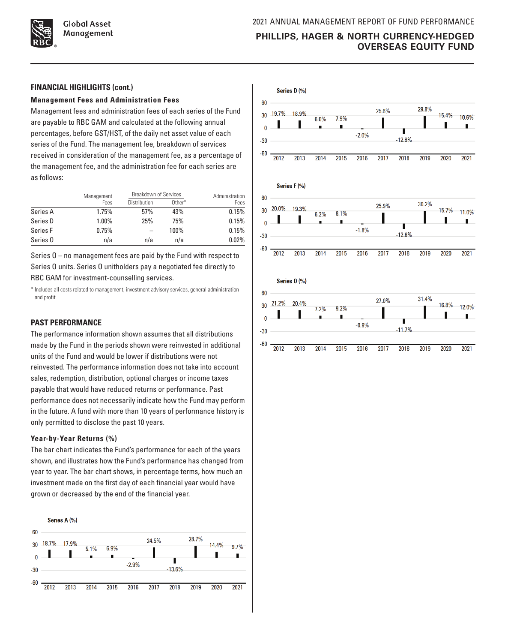

### **FINANCIAL HIGHLIGHTS (cont.)**

### **Management Fees and Administration Fees**

Management fees and administration fees of each series of the Fund are payable to RBC GAM and calculated at the following annual percentages, before GST/HST, of the daily net asset value of each series of the Fund. The management fee, breakdown of services received in consideration of the management fee, as a percentage of the management fee, and the administration fee for each series are as follows:

|          | Management | <b>Breakdown of Services</b> | Administration |       |
|----------|------------|------------------------------|----------------|-------|
|          | Fees       | Distribution                 | Other*         | Fees  |
| Series A | 1.75%      | 57%                          | 43%            | 0.15% |
| Series D | 1.00%      | 25%                          | 75%            | 0.15% |
| Series F | 0.75%      |                              | 100%           | 0.15% |
| Series 0 | n/a        | n/a                          | n/a            | 0.02% |

Series O – no management fees are paid by the Fund with respect to Series O units. Series O unitholders pay a negotiated fee directly to RBC GAM for investment-counselling services.

\* Includes all costs related to management, investment advisory services, general administration and profit.

# **PAST PERFORMANCE**

The performance information shown assumes that all distributions made by the Fund in the periods shown were reinvested in additional units of the Fund and would be lower if distributions were not reinvested. The performance information does not take into account sales, redemption, distribution, optional charges or income taxes payable that would have reduced returns or performance. Past performance does not necessarily indicate how the Fund may perform in the future. A fund with more than 10 years of performance history is only permitted to disclose the past 10 years.

# **Year-by-Year Returns (%)**

The bar chart indicates the Fund's performance for each of the years shown, and illustrates how the Fund's performance has changed from year to year. The bar chart shows, in percentage terms, how much an investment made on the first day of each financial year would have grown or decreased by the end of the financial year.